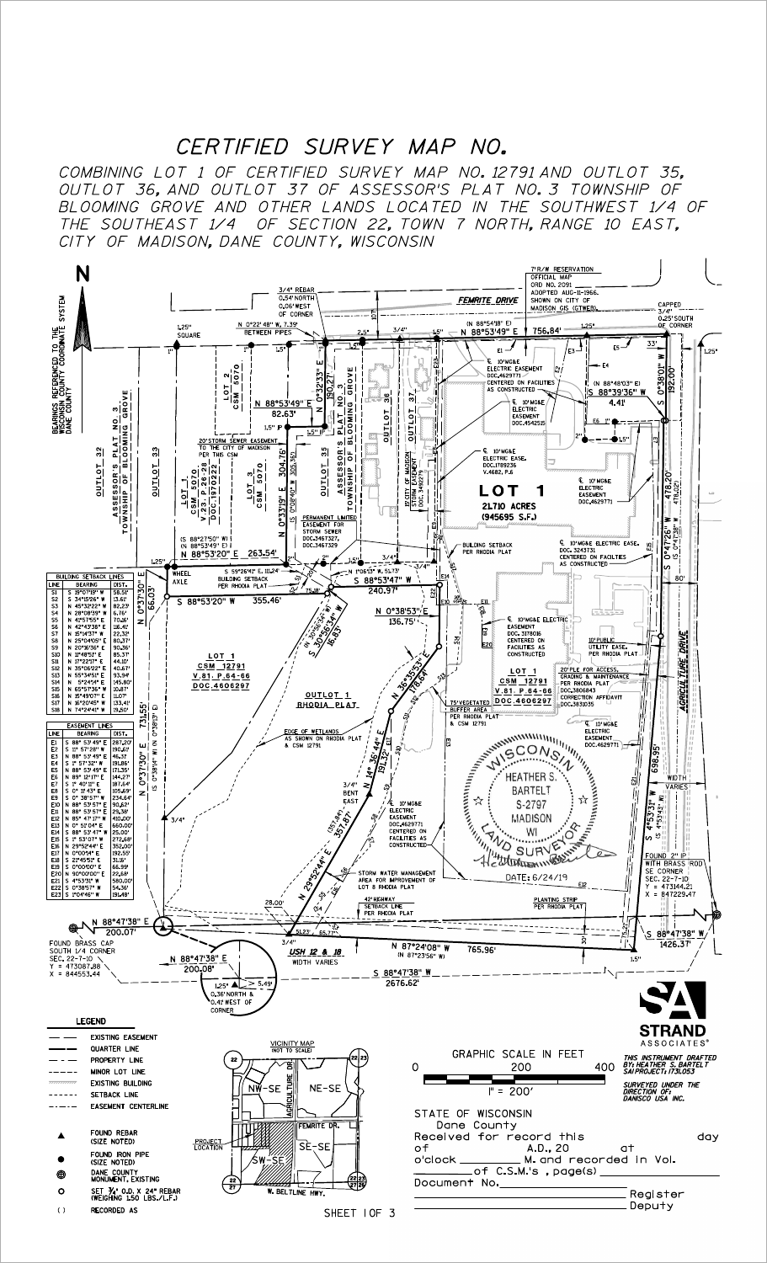## CERTIFIED SURVEY MAP NO.

CITY OF MADISON, DANE COUNTY, WISCONSIN THE SOUTHEAST 1/4 OF SECTION 22, TOWN 7 NORTH, RANGE 10 EAST, BLOOMING GROVE AND OTHER LANDS LOCATED IN THE SOUTHWEST 1/4 OF OUTLOT 36, AND OUTLOT 37 OF ASSESSOR'S PLAT NO. 3 TOWNSHIP OF COMBINING LOT 1 OF CERTIFIED SURVEY MAP NO. 12791 AND OUTLOT 35,

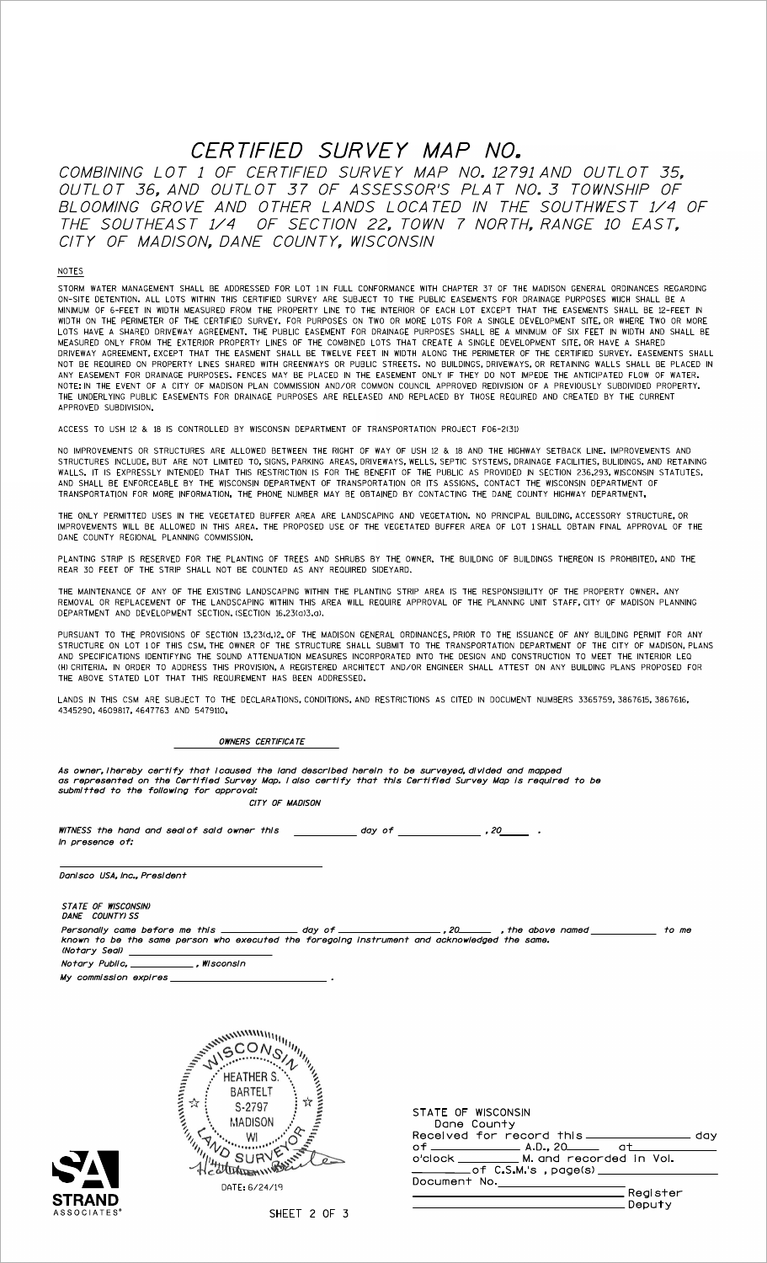# CERTIFIED SURVEY MAP NO.

CITY OF MADISON, DANE COUNTY, WISCONSIN THE SOUTHEAST 1/4 OF SECTION 22, TOWN 7 NORTH, RANGE 10 EAST, BLOOMING GROVE AND OTHER LANDS LOCATED IN THE SOUTHWEST 1/4 OF OUTLOT 36, AND OUTLOT 37 OF ASSESSOR'S PLAT NO. 3 TOWNSHIP OF COMBINING LOT 1 OF CERTIFIED SURVEY MAP NO. 12791 AND OUTLOT 35,

#### NOTES

APPROVED SUBDIVISION. THE UNDERLYING PUBLIC EASEMENTS FOR DRAINAGE PURPOSES ARE RELEASED AND REPLACED BY THOSE REQUIRED AND CREATED BY THE CURRENT NOTE: IN THE EVENT OF A CITY OF MADISON PLAN COMMISSION AND/OR COMMON COUNCIL APPROVED REDIVISION OF A PREVIOUSLY SUBDIVIDED PROPERTY. ANY EASEMENT FOR DRAINAGE PURPOSES. FENCES MAY BE PLACED IN THE EASEMENT ONLY IF THEY DO NOT IMPEDE THE ANTICIPATED FLOW OF WATER. NOT BE REQUIRED ON PROPERTY LINES SHARED WITH GREENWAYS OR PUBLIC STREETS. NO BUILDINGS, DRIVEWAYS, OR RETAINING WALLS SHALL BE PLACED IN DRIVEWAY AGREEMENT, EXCEPT THAT THE EASMENT SHALL BE TWELVE FEET IN WIDTH ALONG THE PERIMETER OF THE CERTIFIED SURVEY. EASEMENTS SHALL MEASURED ONLY FROM THE EXTERIOR PROPERTY LINES OF THE COMBINED LOTS THAT CREATE A SINGLE DEVELOPMENT SITE, OR HAVE A SHARED LOTS HAVE A SHARED DRIVEWAY AGREEMENT. THE PUBLIC EASEMENT FOR DRAINAGE PURPOSES SHALL BE A MINIMUM OF SIX FEET IN WIDTH AND SHALL BE WIDTH ON THE PERIMETER OF THE CERTIFIED SURVEY. FOR PURPOSES ON TWO OR MORE LOTS FOR A SINGLE DEVELOPMENT SITE, OR WHERE TWO OR MORE MINIMUM OF 6-FEET IN WIDTH MEASURED FROM THE PROPERTY LINE TO THE INTERIOR OF EACH LOT EXCEPT THAT THE EASEMENTS SHALL BE 12-FEET IN ON-SITE DETENTION. ALL LOTS WITHIN THIS CERTIFIED SURVEY ARE SUBJECT TO THE PUBLIC EASEMENTS FOR DRAINAGE PURPOSES WIICH SHALL BE A STORM WATER MANAGEMENT SHALL BE ADDRESSED FOR LOT 1 IN FULL CONFORMANCE WITH CHAPTER 37 OF THE MADISON GENERAL ORDINANCES REGARDING

ACCESS TO USH 12 & 18 IS CONTROLLED BY WISCONSIN DEPARTMENT OF TRANSPORTATION PROJECT F06-2(31)

TRANSPORTATION FOR MORE INFORMATION. THE PHONE NUMBER MAY BE OBTAINED BY CONTACTING THE DANE COUNTY HIGHWAY DEPARTMENT. AND SHALL BE ENFORCEABLE BY THE WISCONSIN DEPARTMENT OF TRANSPORTATION OR ITS ASSIGNS. CONTACT THE WISCONSIN DEPARTMENT OF WALLS. IT IS EXPRESSLY INTENDED THAT THIS RESTRICTION IS FOR THE BENEFIT OF THE PUBLIC AS PROVIDED IN SECTION 236.293, WISCONSIN STATUTES, STRUCTURES INCLUDE, BUT ARE NOT LIMITED TO, SIGNS, PARKING AREAS, DRIVEWAYS, WELLS, SEPTIC SYSTEMS, DRAINAGE FACILITIES, BULIDINGS, AND RETAINING NO IMPROVEMENTS OR STRUCTURES ARE ALLOWED BETWEEN THE RIGHT OF WAY OF USH 12 & 18 AND THE HIGHWAY SETBACK LINE. IMPROVEMENTS AND

DANE COUNTY REGIONAL PLANNING COMMISSION. IMPROVEMENTS WILL BE ALLOWED IN THIS AREA. THE PROPOSED USE OF THE VEGETATED BUFFER AREA OF LOT 1 SHALL OBTAIN FINAL APPROVAL OF THE THE ONLY PERMITTED USES IN THE VEGETATED BUFFER AREA ARE LANDSCAPING AND VEGETATION. NO PRINCIPAL BUILDING, ACCESSORY STRUCTURE, OR

REAR 30 FEET OF THE STRIP SHALL NOT BE COUNTED AS ANY REQUIRED SIDEYARD. PLANTING STRIP IS RESERVED FOR THE PLANTING OF TREES AND SHRUBS BY THE OWNER. THE BUILDING OF BUILDINGS THEREON IS PROHIBITED, AND THE

DEPARTMENT AND DEVELOPMENT SECTION. (SECTION 16.23(a)3.a). REMOVAL OR REPLACEMENT OF THE LANDSCAPING WITHIN THIS AREA WILL REQUIRE APPROVAL OF THE PLANNING UNIT STAFF, CITY OF MADISON PLANNING THE MAINTENANCE OF ANY OF THE EXISTING LANDSCAPING WITHIN THE PLANTING STRIP AREA IS THE RESPONSIBILITY OF THE PROPERTY OWNER. ANY

THE ABOVE STATED LOT THAT THIS REQUIREMENT HAS BEEN ADDRESSED. (H) CRITERIA. IN ORDER TO ADDRESS THIS PROVISION, A REGISTERED ARCHITECT AND/OR ENGINEER SHALL ATTEST ON ANY BUILDING PLANS PROPOSED FOR AND SPECIFICATIONS IDENTIFYING THE SOUND ATTENUATION MEASURES INCORPORATED INTO THE DESIGN AND CONSTRUCTION TO MEET THE INTERIOR LEQ STRUCTURE ON LOT 1 OF THIS CSM, THE OWNER OF THE STRUCTURE SHALL SUBMIT TO THE TRANSPORTATION DEPARTMENT OF THE CITY OF MADISON, PLANS PURSUANT TO THE PROVISIONS OF SECTION 13.23(d.)2. OF THE MADISON GENERAL ORDINANCES, PRIOR TO THE ISSUANCE OF ANY BUILDING PERMIT FOR ANY

4345290, 4609817, 4647763 AND 5479110. LANDS IN THIS CSM ARE SUBJECT TO THE DECLARATIONS, CONDITIONS, AND RESTRICTIONS AS CITED IN DOCUMENT NUMBERS 3365759, 3867615, 3867616,

OWNERS CERTIFICATE

As owner,lhereby certify that icaused the land described herein to be surveyed,divided and mapped<br>as represented on the Certified Survey Map.laiso certify that this Certified Survey Map is required to be<br>submitted to the f CITY OF MADISON

In presence of: WITNESS the hand and seal of said owner this  $\frac{1}{2}$  day of  $\frac{1}{2}$  , 20 .

Danisco USA, Inc., President

STATE OF WISCONSIN) DANE COUNTY) SS (Notary Seal) Notary Public, \_\_\_\_\_\_\_\_\_\_\_\_\_, Wisconsin<br>My commission expires Personally came before me this \_\_\_\_\_\_\_\_\_\_\_\_ day of \_\_\_\_\_\_\_\_\_\_\_\_\_\_\_,20\_\_\_\_\_\_\_,the above named \_\_\_\_\_\_\_\_\_\_\_\_ to me<br>known to be the same person who executed the foregoing instrument and acknowledged the same. Notary Public,  $\_$ 



| Municipal Contractor<br><b>ENTRY CONTINUES</b><br>MISCONS I<br>Ç<br><b>11653344735</b> |
|----------------------------------------------------------------------------------------|
|                                                                                        |

| STATE OF WISCONSIN                          |          |  |
|---------------------------------------------|----------|--|
| Dane County                                 |          |  |
| Received for record this ______________     |          |  |
|                                             |          |  |
| o'clock ___________ M. and recorded in Vol. |          |  |
|                                             |          |  |
| Document No.                                |          |  |
|                                             | Realster |  |
|                                             | Deputy   |  |
|                                             |          |  |